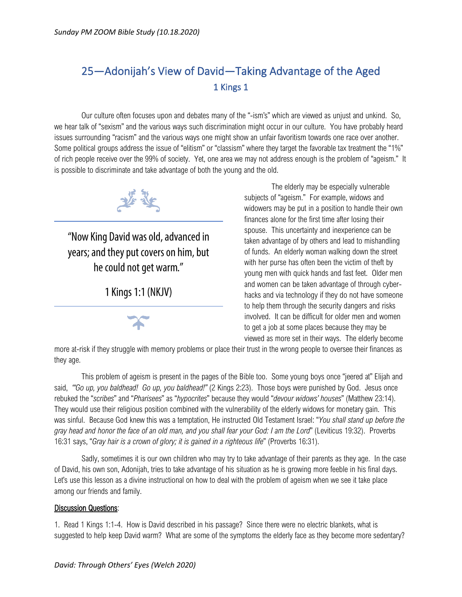## 25—Adonijah's View of David—Taking Advantage of the Aged 1 Kings 1

Our culture often focuses upon and debates many of the "-ism's" which are viewed as unjust and unkind. So, we hear talk of "sexism" and the various ways such discrimination might occur in our culture. You have probably heard issues surrounding "racism" and the various ways one might show an unfair favoritism towards one race over another. Some political groups address the issue of "elitism" or "classism" where they target the favorable tax treatment the "1%" of rich people receive over the 99% of society. Yet, one area we may not address enough is the problem of "ageism." It is possible to discriminate and take advantage of both the young and the old.



"Now King David was old, advanced in years; and they put covers on him, but he could not get warm."

1 Kings 1:1 (NKJV)



The elderly may be especially vulnerable subjects of "ageism." For example, widows and widowers may be put in a position to handle their own finances alone for the first time after losing their spouse. This uncertainty and inexperience can be taken advantage of by others and lead to mishandling of funds. An elderly woman walking down the street with her purse has often been the victim of theft by young men with quick hands and fast feet. Older men and women can be taken advantage of through cyberhacks and via technology if they do not have someone to help them through the security dangers and risks involved. It can be difficult for older men and women to get a job at some places because they may be viewed as more set in their ways. The elderly become

more at-risk if they struggle with memory problems or place their trust in the wrong people to oversee their finances as they age.

This problem of ageism is present in the pages of the Bible too. Some young boys once "jeered at" Elijah and said, *"'Go up, you baldhead! Go up, you baldhead!"* (2 Kings 2:23). Those boys were punished by God. Jesus once rebuked the "*scribes*" and "*Pharisees*" as "*hypocrites*" because they would "*devour widows' houses*" (Matthew 23:14). They would use their religious position combined with the vulnerability of the elderly widows for monetary gain. This was sinful. Because God knew this was a temptation, He instructed Old Testament Israel: "*You shall stand up before the gray head and honor the face of an old man, and you shall fear your God: I am the Lord*" (Leviticus 19:32). Proverbs 16:31 says, "*Gray hair is a crown of glory; it is gained in a righteous life*" (Proverbs 16:31).

Sadly, sometimes it is our own children who may try to take advantage of their parents as they age. In the case of David, his own son, Adonijah, tries to take advantage of his situation as he is growing more feeble in his final days. Let's use this lesson as a divine instructional on how to deal with the problem of ageism when we see it take place among our friends and family.

## Discussion Questions:

1. Read 1 Kings 1:1-4. How is David described in his passage? Since there were no electric blankets, what is suggested to help keep David warm? What are some of the symptoms the elderly face as they become more sedentary?